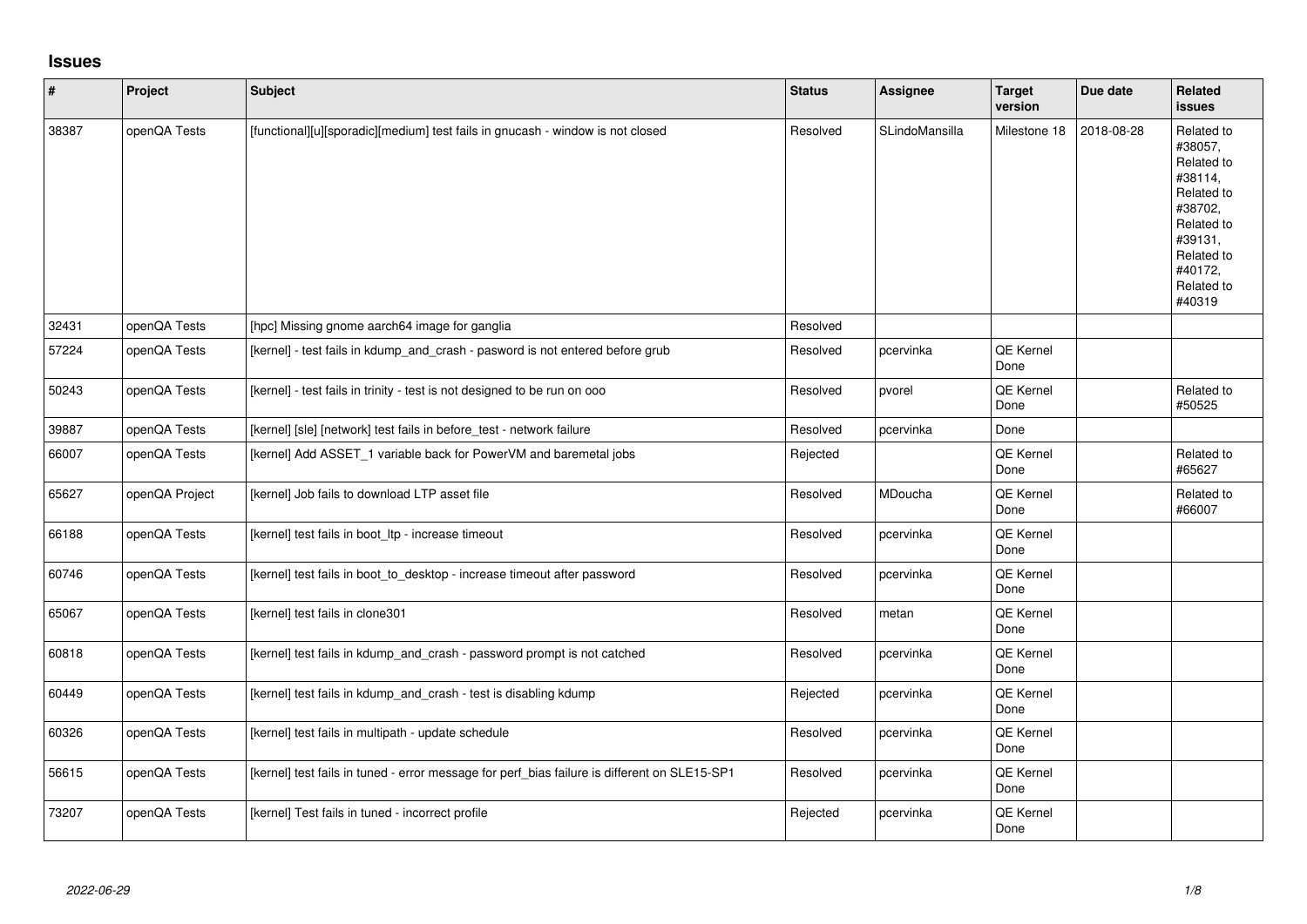## **Issues**

| $\vert$ # | Project        | <b>Subject</b>                                                                               | <b>Status</b> | <b>Assignee</b> | <b>Target</b><br>version | Due date   | Related<br><b>issues</b>                                                                                                                          |
|-----------|----------------|----------------------------------------------------------------------------------------------|---------------|-----------------|--------------------------|------------|---------------------------------------------------------------------------------------------------------------------------------------------------|
| 38387     | openQA Tests   | [functional][u][sporadic][medium] test fails in gnucash - window is not closed               | Resolved      | SLindoMansilla  | Milestone 18             | 2018-08-28 | Related to<br>#38057,<br>Related to<br>#38114,<br>Related to<br>#38702,<br>Related to<br>#39131,<br>Related to<br>#40172,<br>Related to<br>#40319 |
| 32431     | openQA Tests   | [hpc] Missing gnome aarch64 image for ganglia                                                | Resolved      |                 |                          |            |                                                                                                                                                   |
| 57224     | openQA Tests   | [kernel] - test fails in kdump_and_crash - pasword is not entered before grub                | Resolved      | pcervinka       | <b>QE Kernel</b><br>Done |            |                                                                                                                                                   |
| 50243     | openQA Tests   | [kernel] - test fails in trinity - test is not designed to be run on ooo                     | Resolved      | pvorel          | <b>QE Kernel</b><br>Done |            | Related to<br>#50525                                                                                                                              |
| 39887     | openQA Tests   | [kernel] [sle] [network] test fails in before_test - network failure                         | Resolved      | pcervinka       | Done                     |            |                                                                                                                                                   |
| 66007     | openQA Tests   | [kernel] Add ASSET_1 variable back for PowerVM and baremetal jobs                            | Rejected      |                 | QE Kernel<br>Done        |            | Related to<br>#65627                                                                                                                              |
| 65627     | openQA Project | [kernel] Job fails to download LTP asset file                                                | Resolved      | MDoucha         | QE Kernel<br>Done        |            | Related to<br>#66007                                                                                                                              |
| 66188     | openQA Tests   | [kernel] test fails in boot Itp - increase timeout                                           | Resolved      | pcervinka       | QE Kernel<br>Done        |            |                                                                                                                                                   |
| 60746     | openQA Tests   | [kernel] test fails in boot_to_desktop - increase timeout after password                     | Resolved      | pcervinka       | QE Kernel<br>Done        |            |                                                                                                                                                   |
| 65067     | openQA Tests   | [kernel] test fails in clone301                                                              | Resolved      | metan           | QE Kernel<br>Done        |            |                                                                                                                                                   |
| 60818     | openQA Tests   | [kernel] test fails in kdump_and_crash - password prompt is not catched                      | Resolved      | pcervinka       | <b>QE Kernel</b><br>Done |            |                                                                                                                                                   |
| 60449     | openQA Tests   | [kernel] test fails in kdump_and_crash - test is disabling kdump                             | Rejected      | pcervinka       | <b>QE Kernel</b><br>Done |            |                                                                                                                                                   |
| 60326     | openQA Tests   | [kernel] test fails in multipath - update schedule                                           | Resolved      | pcervinka       | QE Kernel<br>Done        |            |                                                                                                                                                   |
| 56615     | openQA Tests   | [kernel] test fails in tuned - error message for perf_bias failure is different on SLE15-SP1 | Resolved      | pcervinka       | QE Kernel<br>Done        |            |                                                                                                                                                   |
| 73207     | openQA Tests   | [kernel] Test fails in tuned - incorrect profile                                             | Rejected      | pcervinka       | <b>QE Kernel</b><br>Done |            |                                                                                                                                                   |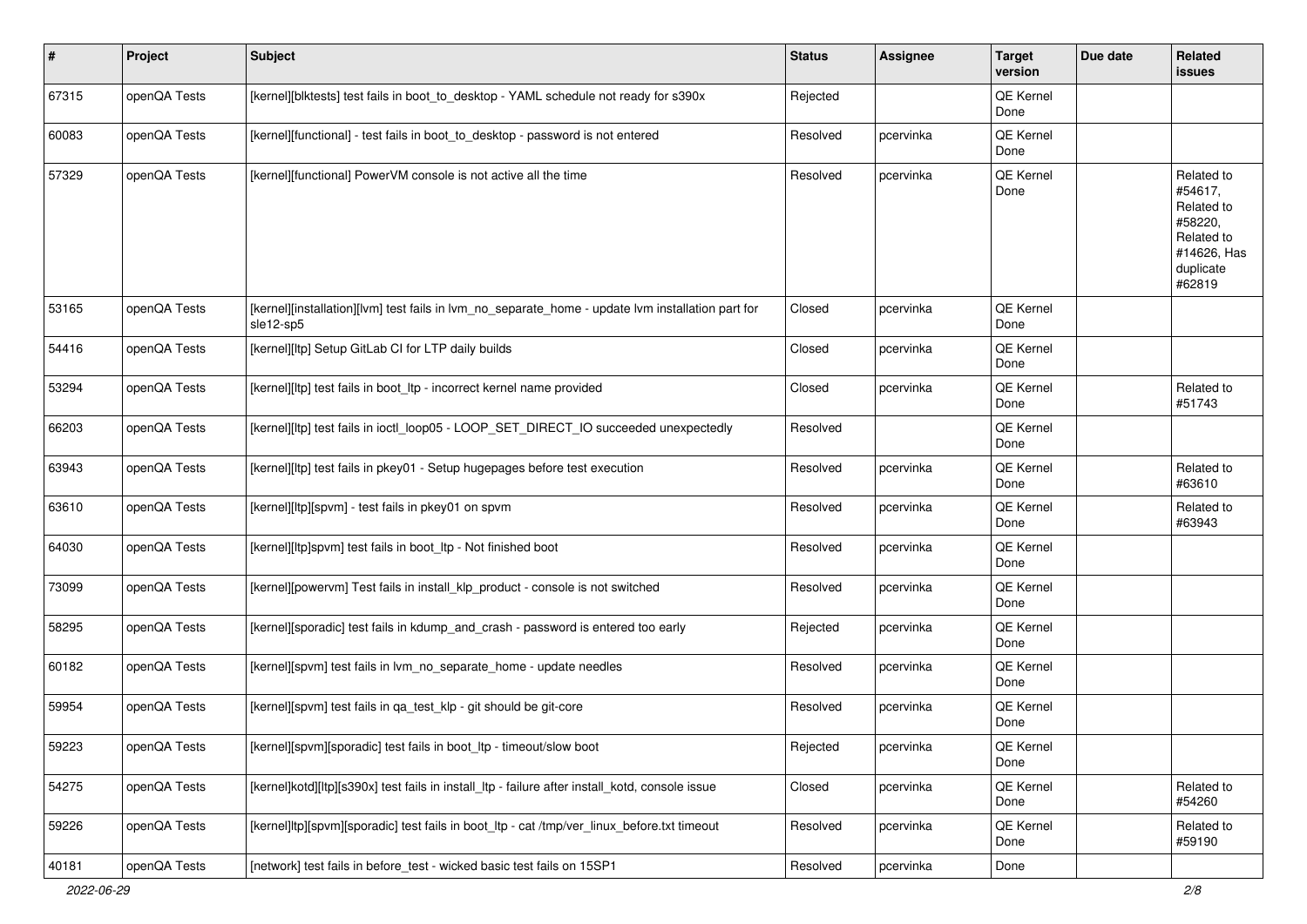| $\sharp$ | Project      | <b>Subject</b>                                                                                                 | <b>Status</b> | Assignee  | <b>Target</b><br>version | Due date | Related<br>issues                                                                                  |
|----------|--------------|----------------------------------------------------------------------------------------------------------------|---------------|-----------|--------------------------|----------|----------------------------------------------------------------------------------------------------|
| 67315    | openQA Tests | [kernel][blktests] test fails in boot_to_desktop - YAML schedule not ready for s390x                           | Rejected      |           | QE Kernel<br>Done        |          |                                                                                                    |
| 60083    | openQA Tests | [kernel][functional] - test fails in boot_to_desktop - password is not entered                                 | Resolved      | pcervinka | QE Kernel<br>Done        |          |                                                                                                    |
| 57329    | openQA Tests | [kernel][functional] PowerVM console is not active all the time                                                | Resolved      | pcervinka | QE Kernel<br>Done        |          | Related to<br>#54617,<br>Related to<br>#58220,<br>Related to<br>#14626, Has<br>duplicate<br>#62819 |
| 53165    | openQA Tests | [kernel][installation][lvm] test fails in lvm_no_separate_home - update lvm installation part for<br>sle12-sp5 | Closed        | pcervinka | QE Kernel<br>Done        |          |                                                                                                    |
| 54416    | openQA Tests | [kernel][ltp] Setup GitLab CI for LTP daily builds                                                             | Closed        | pcervinka | QE Kernel<br>Done        |          |                                                                                                    |
| 53294    | openQA Tests | [kernel][ltp] test fails in boot_ltp - incorrect kernel name provided                                          | Closed        | pcervinka | QE Kernel<br>Done        |          | Related to<br>#51743                                                                               |
| 66203    | openQA Tests | [kernel][ltp] test fails in ioctl_loop05 - LOOP_SET_DIRECT_IO succeeded unexpectedly                           | Resolved      |           | QE Kernel<br>Done        |          |                                                                                                    |
| 63943    | openQA Tests | [kernel][ltp] test fails in pkey01 - Setup hugepages before test execution                                     | Resolved      | pcervinka | QE Kernel<br>Done        |          | Related to<br>#63610                                                                               |
| 63610    | openQA Tests | [kernel][ltp][spvm] - test fails in pkey01 on spvm                                                             | Resolved      | pcervinka | QE Kernel<br>Done        |          | Related to<br>#63943                                                                               |
| 64030    | openQA Tests | [kernel][ltp]spvm] test fails in boot_ltp - Not finished boot                                                  | Resolved      | pcervinka | QE Kernel<br>Done        |          |                                                                                                    |
| 73099    | openQA Tests | [kernel][powervm] Test fails in install_klp_product - console is not switched                                  | Resolved      | pcervinka | QE Kernel<br>Done        |          |                                                                                                    |
| 58295    | openQA Tests | [kernel][sporadic] test fails in kdump_and_crash - password is entered too early                               | Rejected      | pcervinka | QE Kernel<br>Done        |          |                                                                                                    |
| 60182    | openQA Tests | [kernel][spvm] test fails in lvm_no_separate_home - update needles                                             | Resolved      | pcervinka | QE Kernel<br>Done        |          |                                                                                                    |
| 59954    | openQA Tests | [kernel][spvm] test fails in qa_test_klp - git should be git-core                                              | Resolved      | pcervinka | QE Kernel<br>Done        |          |                                                                                                    |
| 59223    | openQA Tests | [kernel][spvm][sporadic] test fails in boot_ltp - timeout/slow boot                                            | Rejected      | pcervinka | QE Kernel<br>Done        |          |                                                                                                    |
| 54275    | openQA Tests | [kernel]kotd][ltp][s390x] test fails in install ltp - failure after install kotd, console issue                | Closed        | pcervinka | QE Kernel<br>Done        |          | Related to<br>#54260                                                                               |
| 59226    | openQA Tests | [kernel]ltp][spvm][sporadic] test fails in boot_ltp - cat /tmp/ver_linux_before.txt timeout                    | Resolved      | pcervinka | QE Kernel<br>Done        |          | Related to<br>#59190                                                                               |
| 40181    | openQA Tests | [network] test fails in before_test - wicked basic test fails on 15SP1                                         | Resolved      | pcervinka | Done                     |          |                                                                                                    |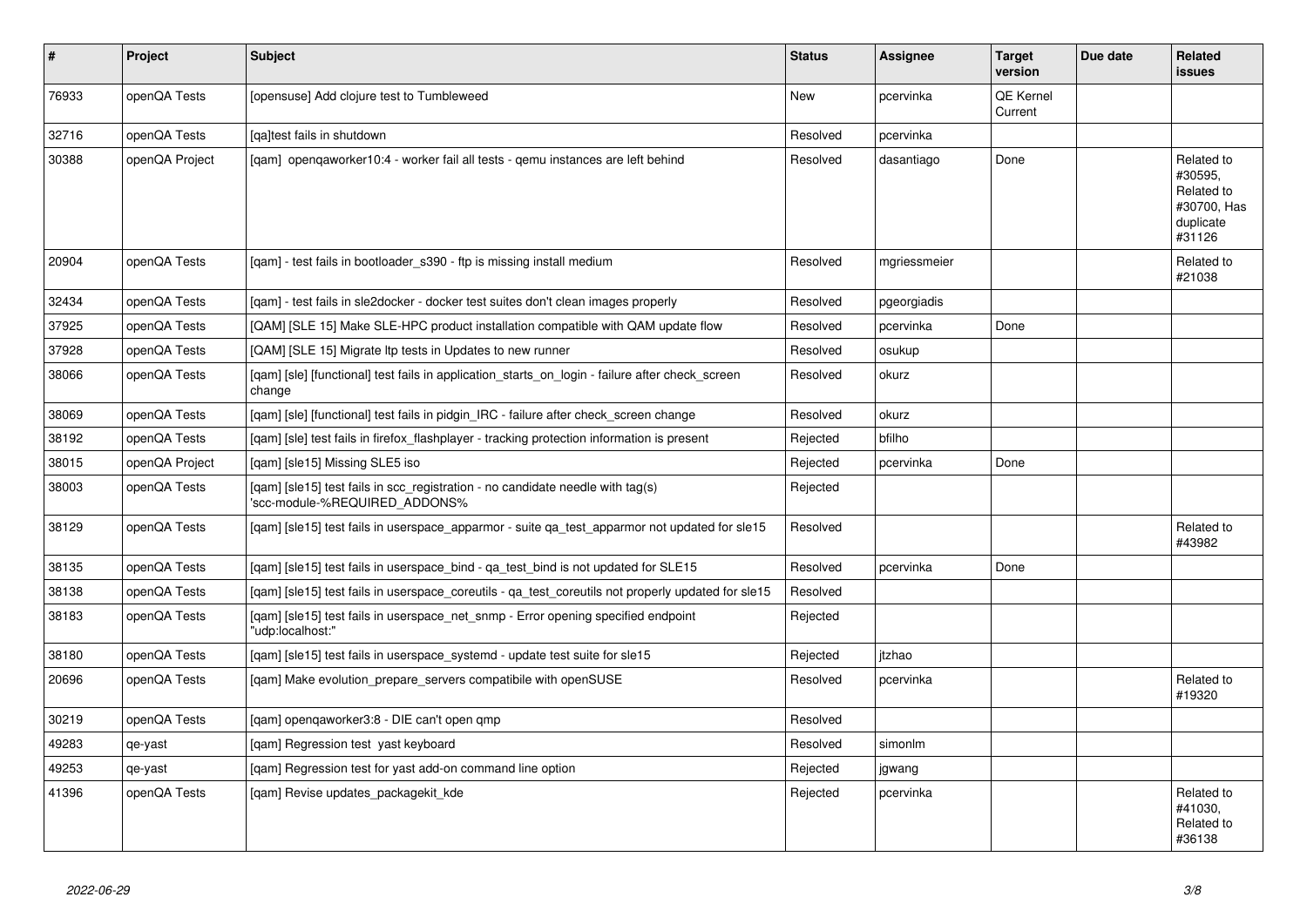| $\pmb{\sharp}$ | Project        | <b>Subject</b>                                                                                                  | <b>Status</b> | <b>Assignee</b> | <b>Target</b><br>version | Due date | <b>Related</b><br><b>issues</b>                                           |
|----------------|----------------|-----------------------------------------------------------------------------------------------------------------|---------------|-----------------|--------------------------|----------|---------------------------------------------------------------------------|
| 76933          | openQA Tests   | [opensuse] Add clojure test to Tumbleweed                                                                       | <b>New</b>    | pcervinka       | QE Kernel<br>Current     |          |                                                                           |
| 32716          | openQA Tests   | lgaltest fails in shutdown                                                                                      | Resolved      | pcervinka       |                          |          |                                                                           |
| 30388          | openQA Project | [gam] opengaworker10:4 - worker fail all tests - gemu instances are left behind                                 | Resolved      | dasantiago      | Done                     |          | Related to<br>#30595,<br>Related to<br>#30700, Has<br>duplicate<br>#31126 |
| 20904          | openQA Tests   | [gam] - test fails in bootloader s390 - ftp is missing install medium                                           | Resolved      | mgriessmeier    |                          |          | Related to<br>#21038                                                      |
| 32434          | openQA Tests   | [gam] - test fails in sle2docker - docker test suites don't clean images properly                               | Resolved      | pgeorgiadis     |                          |          |                                                                           |
| 37925          | openQA Tests   | [QAM] [SLE 15] Make SLE-HPC product installation compatible with QAM update flow                                | Resolved      | pcervinka       | Done                     |          |                                                                           |
| 37928          | openQA Tests   | [QAM] [SLE 15] Migrate Itp tests in Updates to new runner                                                       | Resolved      | osukup          |                          |          |                                                                           |
| 38066          | openQA Tests   | [gam] [sle] [functional] test fails in application_starts_on_login - failure after check_screen<br>change       | Resolved      | okurz           |                          |          |                                                                           |
| 38069          | openQA Tests   | [gam] [sle] [functional] test fails in pidgin IRC - failure after check screen change                           | Resolved      | okurz           |                          |          |                                                                           |
| 38192          | openQA Tests   | [qam] [sle] test fails in firefox_flashplayer - tracking protection information is present                      | Rejected      | bfilho          |                          |          |                                                                           |
| 38015          | openQA Project | [gam] [sle15] Missing SLE5 iso                                                                                  | Rejected      | pcervinka       | Done                     |          |                                                                           |
| 38003          | openQA Tests   | [gam] [sle15] test fails in scc registration - no candidate needle with tag(s)<br>'scc-module-%REQUIRED ADDONS% | Rejected      |                 |                          |          |                                                                           |
| 38129          | openQA Tests   | [qam] [sle15] test fails in userspace_apparmor - suite qa_test_apparmor not updated for sle15                   | Resolved      |                 |                          |          | Related to<br>#43982                                                      |
| 38135          | openQA Tests   | [qam] [sle15] test fails in userspace_bind - qa_test_bind is not updated for SLE15                              | Resolved      | pcervinka       | Done                     |          |                                                                           |
| 38138          | openQA Tests   | [gam] [sle15] test fails in userspace coreutils - ga test coreutils not properly updated for sle15              | Resolved      |                 |                          |          |                                                                           |
| 38183          | openQA Tests   | [gam] [sle15] test fails in userspace net snmp - Error opening specified endpoint<br>"udp:localhost:"           | Rejected      |                 |                          |          |                                                                           |
| 38180          | openQA Tests   | [qam] [sle15] test fails in userspace_systemd - update test suite for sle15                                     | Rejected      | itzhao          |                          |          |                                                                           |
| 20696          | openQA Tests   | [gam] Make evolution prepare servers compatibile with openSUSE                                                  | Resolved      | pcervinka       |                          |          | Related to<br>#19320                                                      |
| 30219          | openQA Tests   | [qam] openqaworker3:8 - DIE can't open qmp                                                                      | Resolved      |                 |                          |          |                                                                           |
| 49283          | qe-yast        | [gam] Regression test yast keyboard                                                                             | Resolved      | simonlm         |                          |          |                                                                           |
| 49253          | qe-yast        | [qam] Regression test for yast add-on command line option                                                       | Rejected      | jgwang          |                          |          |                                                                           |
| 41396          | openQA Tests   | [gam] Revise updates packagekit kde                                                                             | Rejected      | pcervinka       |                          |          | Related to<br>#41030.<br>Related to<br>#36138                             |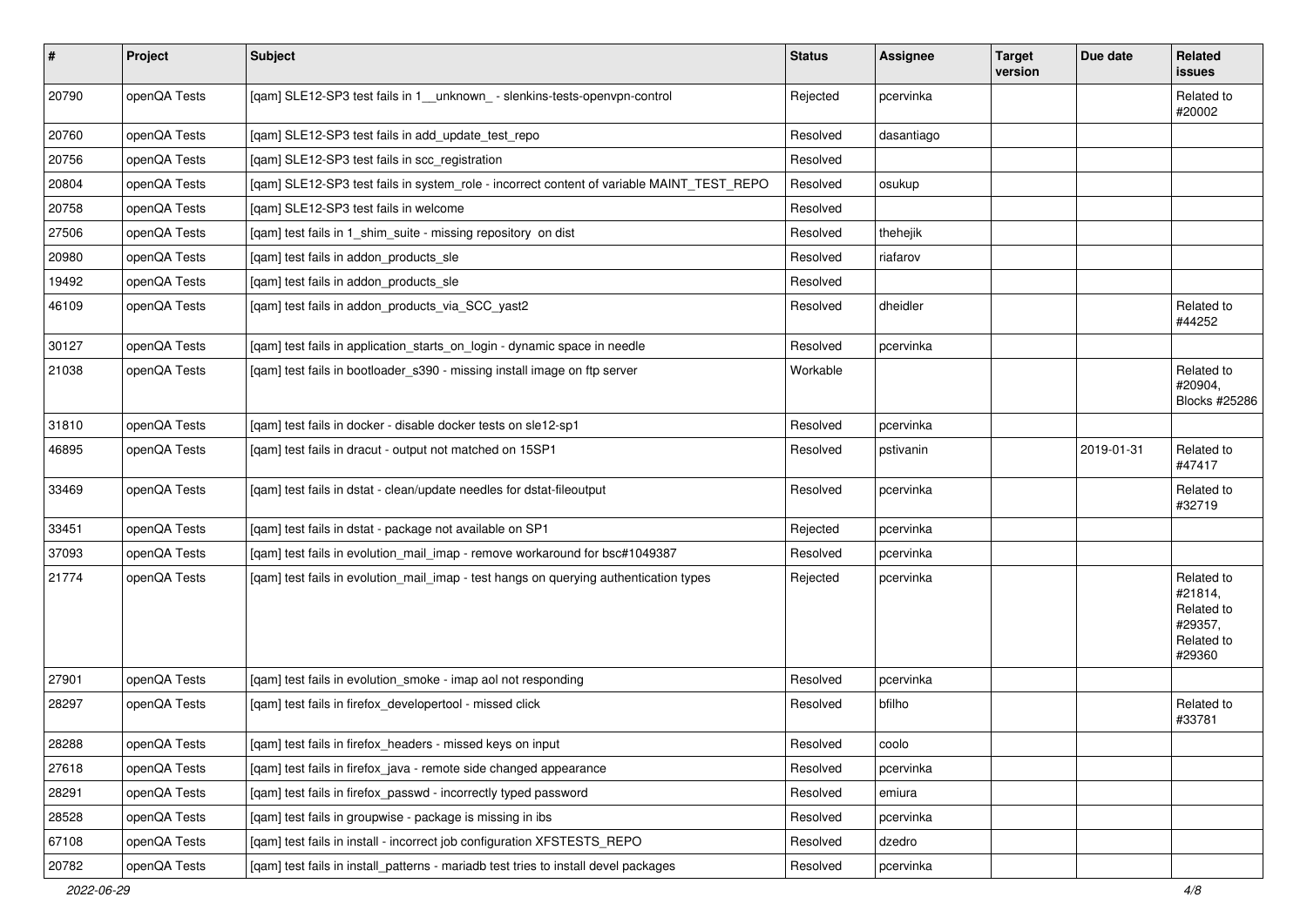| $\sharp$ | Project      | Subject                                                                                   | <b>Status</b> | Assignee   | <b>Target</b><br>version | Due date   | Related<br>issues                                                      |
|----------|--------------|-------------------------------------------------------------------------------------------|---------------|------------|--------------------------|------------|------------------------------------------------------------------------|
| 20790    | openQA Tests | [qam] SLE12-SP3 test fails in 1_unknown_ - slenkins-tests-openvpn-control                 | Rejected      | pcervinka  |                          |            | Related to<br>#20002                                                   |
| 20760    | openQA Tests | [qam] SLE12-SP3 test fails in add_update_test_repo                                        | Resolved      | dasantiago |                          |            |                                                                        |
| 20756    | openQA Tests | [qam] SLE12-SP3 test fails in scc_registration                                            | Resolved      |            |                          |            |                                                                        |
| 20804    | openQA Tests | [qam] SLE12-SP3 test fails in system_role - incorrect content of variable MAINT_TEST_REPO | Resolved      | osukup     |                          |            |                                                                        |
| 20758    | openQA Tests | [qam] SLE12-SP3 test fails in welcome                                                     | Resolved      |            |                          |            |                                                                        |
| 27506    | openQA Tests | [qam] test fails in 1_shim_suite - missing repository on dist                             | Resolved      | thehejik   |                          |            |                                                                        |
| 20980    | openQA Tests | [qam] test fails in addon_products_sle                                                    | Resolved      | riafarov   |                          |            |                                                                        |
| 19492    | openQA Tests | [qam] test fails in addon_products_sle                                                    | Resolved      |            |                          |            |                                                                        |
| 46109    | openQA Tests | [qam] test fails in addon_products_via_SCC_yast2                                          | Resolved      | dheidler   |                          |            | Related to<br>#44252                                                   |
| 30127    | openQA Tests | [qam] test fails in application_starts_on_login - dynamic space in needle                 | Resolved      | pcervinka  |                          |            |                                                                        |
| 21038    | openQA Tests | [qam] test fails in bootloader_s390 - missing install image on ftp server                 | Workable      |            |                          |            | Related to<br>#20904,<br>Blocks #25286                                 |
| 31810    | openQA Tests | [qam] test fails in docker - disable docker tests on sle12-sp1                            | Resolved      | pcervinka  |                          |            |                                                                        |
| 46895    | openQA Tests | [qam] test fails in dracut - output not matched on 15SP1                                  | Resolved      | pstivanin  |                          | 2019-01-31 | Related to<br>#47417                                                   |
| 33469    | openQA Tests | [qam] test fails in dstat - clean/update needles for dstat-fileoutput                     | Resolved      | pcervinka  |                          |            | Related to<br>#32719                                                   |
| 33451    | openQA Tests | [qam] test fails in dstat - package not available on SP1                                  | Rejected      | pcervinka  |                          |            |                                                                        |
| 37093    | openQA Tests | [qam] test fails in evolution_mail_imap - remove workaround for bsc#1049387               | Resolved      | pcervinka  |                          |            |                                                                        |
| 21774    | openQA Tests | [qam] test fails in evolution_mail_imap - test hangs on querying authentication types     | Rejected      | pcervinka  |                          |            | Related to<br>#21814,<br>Related to<br>#29357,<br>Related to<br>#29360 |
| 27901    | openQA Tests | [gam] test fails in evolution smoke - imap aol not responding                             | Resolved      | pcervinka  |                          |            |                                                                        |
| 28297    | openQA Tests | [qam] test fails in firefox_developertool - missed click                                  | Resolved      | bfilho     |                          |            | Related to<br>#33781                                                   |
| 28288    | openQA Tests | [qam] test fails in firefox_headers - missed keys on input                                | Resolved      | coolo      |                          |            |                                                                        |
| 27618    | openQA Tests | [qam] test fails in firefox_java - remote side changed appearance                         | Resolved      | pcervinka  |                          |            |                                                                        |
| 28291    | openQA Tests | [gam] test fails in firefox passwd - incorrectly typed password                           | Resolved      | emiura     |                          |            |                                                                        |
| 28528    | openQA Tests | [qam] test fails in groupwise - package is missing in ibs                                 | Resolved      | pcervinka  |                          |            |                                                                        |
| 67108    | openQA Tests | [qam] test fails in install - incorrect job configuration XFSTESTS_REPO                   | Resolved      | dzedro     |                          |            |                                                                        |
| 20782    | openQA Tests | [qam] test fails in install_patterns - mariadb test tries to install devel packages       | Resolved      | pcervinka  |                          |            |                                                                        |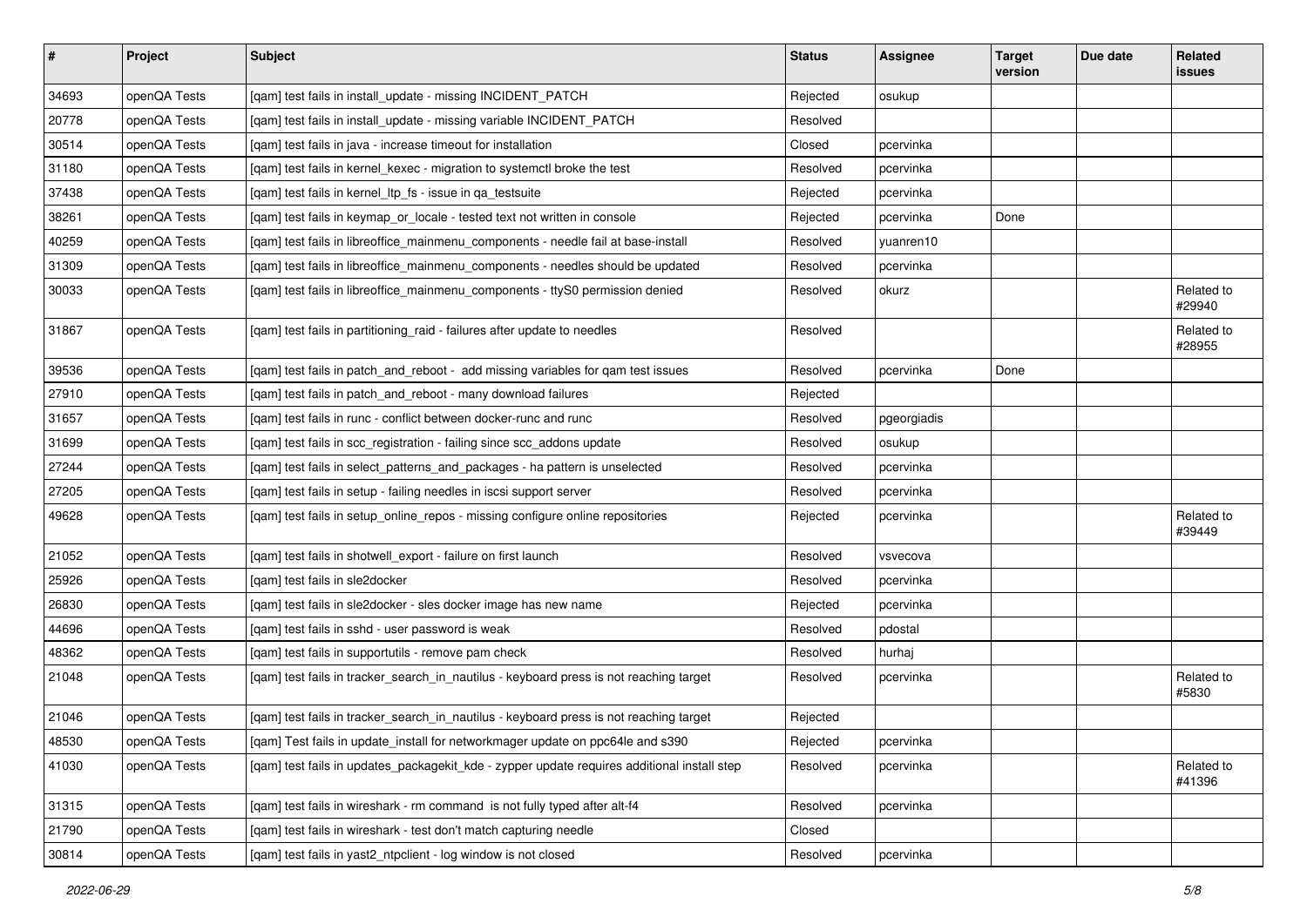| $\vert$ # | Project      | Subject                                                                                     | <b>Status</b> | Assignee    | <b>Target</b><br>version | Due date | Related<br>issues    |
|-----------|--------------|---------------------------------------------------------------------------------------------|---------------|-------------|--------------------------|----------|----------------------|
| 34693     | openQA Tests | [qam] test fails in install_update - missing INCIDENT_PATCH                                 | Rejected      | osukup      |                          |          |                      |
| 20778     | openQA Tests | [qam] test fails in install_update - missing variable INCIDENT_PATCH                        | Resolved      |             |                          |          |                      |
| 30514     | openQA Tests | [qam] test fails in java - increase timeout for installation                                | Closed        | pcervinka   |                          |          |                      |
| 31180     | openQA Tests | [qam] test fails in kernel_kexec - migration to systemctl broke the test                    | Resolved      | pcervinka   |                          |          |                      |
| 37438     | openQA Tests | [qam] test fails in kernel_ltp_fs - issue in qa_testsuite                                   | Rejected      | pcervinka   |                          |          |                      |
| 38261     | openQA Tests | [qam] test fails in keymap_or_locale - tested text not written in console                   | Rejected      | pcervinka   | Done                     |          |                      |
| 40259     | openQA Tests | [qam] test fails in libreoffice_mainmenu_components - needle fail at base-install           | Resolved      | yuanren10   |                          |          |                      |
| 31309     | openQA Tests | [qam] test fails in libreoffice_mainmenu_components - needles should be updated             | Resolved      | pcervinka   |                          |          |                      |
| 30033     | openQA Tests | [qam] test fails in libreoffice_mainmenu_components - ttyS0 permission denied               | Resolved      | okurz       |                          |          | Related to<br>#29940 |
| 31867     | openQA Tests | [qam] test fails in partitioning_raid - failures after update to needles                    | Resolved      |             |                          |          | Related to<br>#28955 |
| 39536     | openQA Tests | [qam] test fails in patch_and_reboot - add missing variables for qam test issues            | Resolved      | pcervinka   | Done                     |          |                      |
| 27910     | openQA Tests | [qam] test fails in patch_and_reboot - many download failures                               | Rejected      |             |                          |          |                      |
| 31657     | openQA Tests | [qam] test fails in runc - conflict between docker-runc and runc                            | Resolved      | pgeorgiadis |                          |          |                      |
| 31699     | openQA Tests | [qam] test fails in scc_registration - failing since scc_addons update                      | Resolved      | osukup      |                          |          |                      |
| 27244     | openQA Tests | [qam] test fails in select_patterns_and_packages - ha pattern is unselected                 | Resolved      | pcervinka   |                          |          |                      |
| 27205     | openQA Tests | [qam] test fails in setup - failing needles in iscsi support server                         | Resolved      | pcervinka   |                          |          |                      |
| 49628     | openQA Tests | [qam] test fails in setup_online_repos - missing configure online repositories              | Rejected      | pcervinka   |                          |          | Related to<br>#39449 |
| 21052     | openQA Tests | [qam] test fails in shotwell_export - failure on first launch                               | Resolved      | vsvecova    |                          |          |                      |
| 25926     | openQA Tests | [gam] test fails in sle2docker                                                              | Resolved      | pcervinka   |                          |          |                      |
| 26830     | openQA Tests | [qam] test fails in sle2docker - sles docker image has new name                             | Rejected      | pcervinka   |                          |          |                      |
| 44696     | openQA Tests | [qam] test fails in sshd - user password is weak                                            | Resolved      | pdostal     |                          |          |                      |
| 48362     | openQA Tests | [qam] test fails in supportutils - remove pam check                                         | Resolved      | hurhaj      |                          |          |                      |
| 21048     | openQA Tests | [qam] test fails in tracker_search_in_nautilus - keyboard press is not reaching target      | Resolved      | pcervinka   |                          |          | Related to<br>#5830  |
| 21046     | openQA Tests | [qam] test fails in tracker_search_in_nautilus - keyboard press is not reaching target      | Rejected      |             |                          |          |                      |
| 48530     | openQA Tests | [qam] Test fails in update_install for networkmager update on ppc64le and s390              | Rejected      | pcervinka   |                          |          |                      |
| 41030     | openQA Tests | [gam] test fails in updates packagekit kde - zypper update requires additional install step | Resolved      | pcervinka   |                          |          | Related to<br>#41396 |
| 31315     | openQA Tests | [qam] test fails in wireshark - rm command is not fully typed after alt-f4                  | Resolved      | pcervinka   |                          |          |                      |
| 21790     | openQA Tests | [qam] test fails in wireshark - test don't match capturing needle                           | Closed        |             |                          |          |                      |
| 30814     | openQA Tests | [qam] test fails in yast2_ntpclient - log window is not closed                              | Resolved      | pcervinka   |                          |          |                      |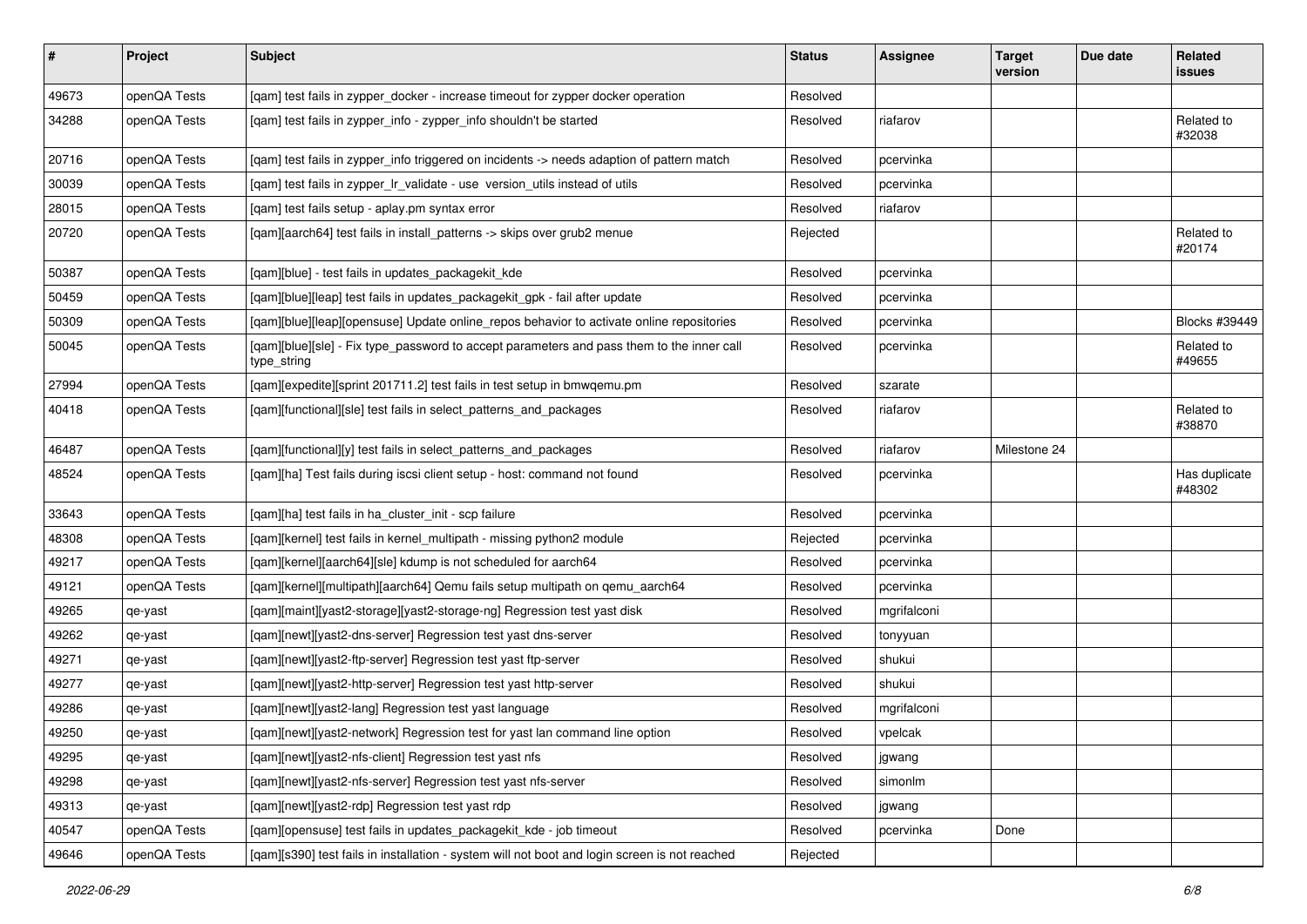| $\pmb{\#}$ | Project      | <b>Subject</b>                                                                                           | <b>Status</b> | <b>Assignee</b> | <b>Target</b><br>version | Due date | Related<br>issues       |
|------------|--------------|----------------------------------------------------------------------------------------------------------|---------------|-----------------|--------------------------|----------|-------------------------|
| 49673      | openQA Tests | [qam] test fails in zypper_docker - increase timeout for zypper docker operation                         | Resolved      |                 |                          |          |                         |
| 34288      | openQA Tests | [qam] test fails in zypper_info - zypper_info shouldn't be started                                       | Resolved      | riafarov        |                          |          | Related to<br>#32038    |
| 20716      | openQA Tests | [qam] test fails in zypper_info triggered on incidents -> needs adaption of pattern match                | Resolved      | pcervinka       |                          |          |                         |
| 30039      | openQA Tests | [qam] test fails in zypper_lr_validate - use version_utils instead of utils                              | Resolved      | pcervinka       |                          |          |                         |
| 28015      | openQA Tests | [qam] test fails setup - aplay.pm syntax error                                                           | Resolved      | riafarov        |                          |          |                         |
| 20720      | openQA Tests | [qam][aarch64] test fails in install_patterns -> skips over grub2 menue                                  | Rejected      |                 |                          |          | Related to<br>#20174    |
| 50387      | openQA Tests | [qam][blue] - test fails in updates_packagekit_kde                                                       | Resolved      | pcervinka       |                          |          |                         |
| 50459      | openQA Tests | [qam][blue][leap] test fails in updates_packagekit_gpk - fail after update                               | Resolved      | pcervinka       |                          |          |                         |
| 50309      | openQA Tests | [qam][blue][leap][opensuse] Update online_repos behavior to activate online repositories                 | Resolved      | pcervinka       |                          |          | Blocks #39449           |
| 50045      | openQA Tests | [qam][blue][sle] - Fix type_password to accept parameters and pass them to the inner call<br>type_string | Resolved      | pcervinka       |                          |          | Related to<br>#49655    |
| 27994      | openQA Tests | [qam][expedite][sprint 201711.2] test fails in test setup in bmwqemu.pm                                  | Resolved      | szarate         |                          |          |                         |
| 40418      | openQA Tests | [qam][functional][sle] test fails in select_patterns_and_packages                                        | Resolved      | riafarov        |                          |          | Related to<br>#38870    |
| 46487      | openQA Tests | [qam][functional][y] test fails in select_patterns_and_packages                                          | Resolved      | riafarov        | Milestone 24             |          |                         |
| 48524      | openQA Tests | [qam][ha] Test fails during iscsi client setup - host: command not found                                 | Resolved      | pcervinka       |                          |          | Has duplicate<br>#48302 |
| 33643      | openQA Tests | [qam][ha] test fails in ha_cluster_init - scp failure                                                    | Resolved      | pcervinka       |                          |          |                         |
| 48308      | openQA Tests | [qam][kernel] test fails in kernel_multipath - missing python2 module                                    | Rejected      | pcervinka       |                          |          |                         |
| 49217      | openQA Tests | [qam][kernel][aarch64][sle] kdump is not scheduled for aarch64                                           | Resolved      | pcervinka       |                          |          |                         |
| 49121      | openQA Tests | [gam][kernel][multipath][aarch64] Qemu fails setup multipath on gemu aarch64                             | Resolved      | pcervinka       |                          |          |                         |
| 49265      | qe-yast      | [qam][maint][yast2-storage][yast2-storage-ng] Regression test yast disk                                  | Resolved      | mgrifalconi     |                          |          |                         |
| 49262      | qe-yast      | [qam][newt][yast2-dns-server] Regression test yast dns-server                                            | Resolved      | tonyyuan        |                          |          |                         |
| 49271      | qe-yast      | [qam][newt][yast2-ftp-server] Regression test yast ftp-server                                            | Resolved      | shukui          |                          |          |                         |
| 49277      | qe-yast      | [qam][newt][yast2-http-server] Regression test yast http-server                                          | Resolved      | shukui          |                          |          |                         |
| 49286      | qe-yast      | [qam][newt][yast2-lang] Regression test yast language                                                    | Resolved      | mgrifalconi     |                          |          |                         |
| 49250      | qe-yast      | [qam][newt][yast2-network] Regression test for yast lan command line option                              | Resolved      | vpelcak         |                          |          |                         |
| 49295      | qe-yast      | [gam][newt][yast2-nfs-client] Regression test yast nfs                                                   | Resolved      | jgwang          |                          |          |                         |
| 49298      | qe-yast      | [qam][newt][yast2-nfs-server] Regression test yast nfs-server                                            | Resolved      | simonlm         |                          |          |                         |
| 49313      | qe-yast      | [qam][newt][yast2-rdp] Regression test yast rdp                                                          | Resolved      | jgwang          |                          |          |                         |
| 40547      | openQA Tests | [qam][opensuse] test fails in updates_packagekit_kde - job timeout                                       | Resolved      | pcervinka       | Done                     |          |                         |
| 49646      | openQA Tests | [qam][s390] test fails in installation - system will not boot and login screen is not reached            | Rejected      |                 |                          |          |                         |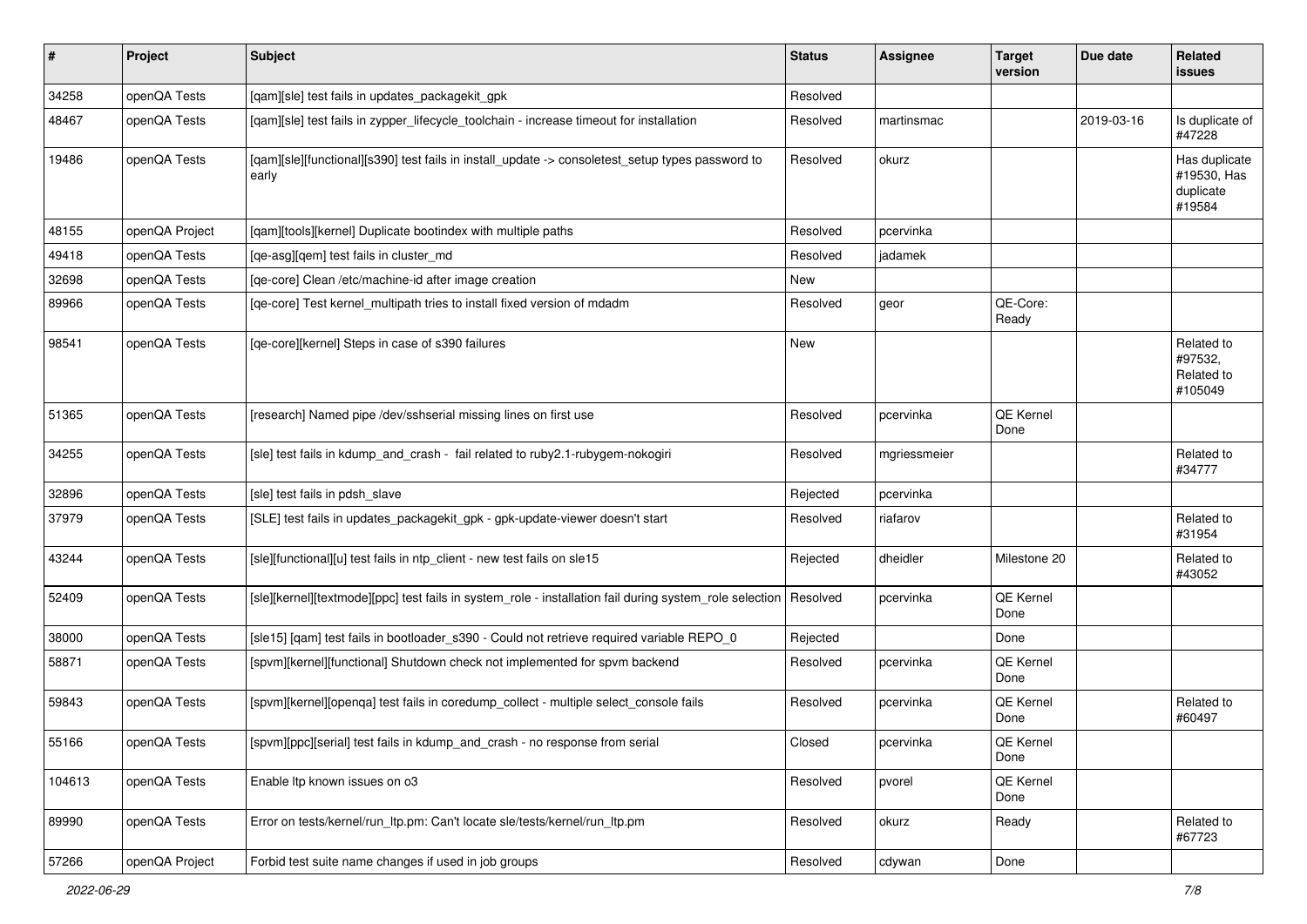| #      | Project        | <b>Subject</b>                                                                                            | <b>Status</b> | <b>Assignee</b> | <b>Target</b><br>version | Due date   | Related<br>issues                                   |
|--------|----------------|-----------------------------------------------------------------------------------------------------------|---------------|-----------------|--------------------------|------------|-----------------------------------------------------|
| 34258  | openQA Tests   | [qam][sle] test fails in updates_packagekit_gpk                                                           | Resolved      |                 |                          |            |                                                     |
| 48467  | openQA Tests   | [qam][sle] test fails in zypper_lifecycle_toolchain - increase timeout for installation                   | Resolved      | martinsmac      |                          | 2019-03-16 | Is duplicate of<br>#47228                           |
| 19486  | openQA Tests   | [qam][sle][functional][s390] test fails in install_update -> consoletest_setup types password to<br>early | Resolved      | okurz           |                          |            | Has duplicate<br>#19530, Has<br>duplicate<br>#19584 |
| 48155  | openQA Project | [qam][tools][kernel] Duplicate bootindex with multiple paths                                              | Resolved      | pcervinka       |                          |            |                                                     |
| 49418  | openQA Tests   | [ge-asg][gem] test fails in cluster md                                                                    | Resolved      | jadamek         |                          |            |                                                     |
| 32698  | openQA Tests   | [qe-core] Clean /etc/machine-id after image creation                                                      | New           |                 |                          |            |                                                     |
| 89966  | openQA Tests   | [qe-core] Test kernel_multipath tries to install fixed version of mdadm                                   | Resolved      | geor            | QE-Core:<br>Ready        |            |                                                     |
| 98541  | openQA Tests   | [qe-core][kernel] Steps in case of s390 failures                                                          | New           |                 |                          |            | Related to<br>#97532,<br>Related to<br>#105049      |
| 51365  | openQA Tests   | [research] Named pipe /dev/sshserial missing lines on first use                                           | Resolved      | pcervinka       | QE Kernel<br>Done        |            |                                                     |
| 34255  | openQA Tests   | [sle] test fails in kdump_and_crash - fail related to ruby2.1-rubygem-nokogiri                            | Resolved      | mgriessmeier    |                          |            | Related to<br>#34777                                |
| 32896  | openQA Tests   | [sle] test fails in pdsh slave                                                                            | Rejected      | pcervinka       |                          |            |                                                     |
| 37979  | openQA Tests   | [SLE] test fails in updates_packagekit_gpk - gpk-update-viewer doesn't start                              | Resolved      | riafarov        |                          |            | Related to<br>#31954                                |
| 43244  | openQA Tests   | [sle][functional][u] test fails in ntp_client - new test fails on sle15                                   | Rejected      | dheidler        | Milestone 20             |            | Related to<br>#43052                                |
| 52409  | openQA Tests   | [sle][kernel][textmode][ppc] test fails in system_role - installation fail during system_role selection   | Resolved      | pcervinka       | QE Kernel<br>Done        |            |                                                     |
| 38000  | openQA Tests   | [sle15] [qam] test fails in bootloader_s390 - Could not retrieve required variable REPO_0                 | Rejected      |                 | Done                     |            |                                                     |
| 58871  | openQA Tests   | [spvm][kernel][functional] Shutdown check not implemented for spvm backend                                | Resolved      | pcervinka       | <b>QE Kernel</b><br>Done |            |                                                     |
| 59843  | openQA Tests   | [spvm][kernel][openqa] test fails in coredump_collect - multiple select_console fails                     | Resolved      | pcervinka       | QE Kernel<br>Done        |            | Related to<br>#60497                                |
| 55166  | openQA Tests   | [spvm][ppc][serial] test fails in kdump_and_crash - no response from serial                               | Closed        | pcervinka       | QE Kernel<br>Done        |            |                                                     |
| 104613 | openQA Tests   | Enable Itp known issues on o3                                                                             | Resolved      | pvorel          | <b>QE Kernel</b><br>Done |            |                                                     |
| 89990  | openQA Tests   | Error on tests/kernel/run ltp.pm: Can't locate sle/tests/kernel/run ltp.pm                                | Resolved      | okurz           | Ready                    |            | Related to<br>#67723                                |
| 57266  | openQA Project | Forbid test suite name changes if used in job groups                                                      | Resolved      | cdywan          | Done                     |            |                                                     |